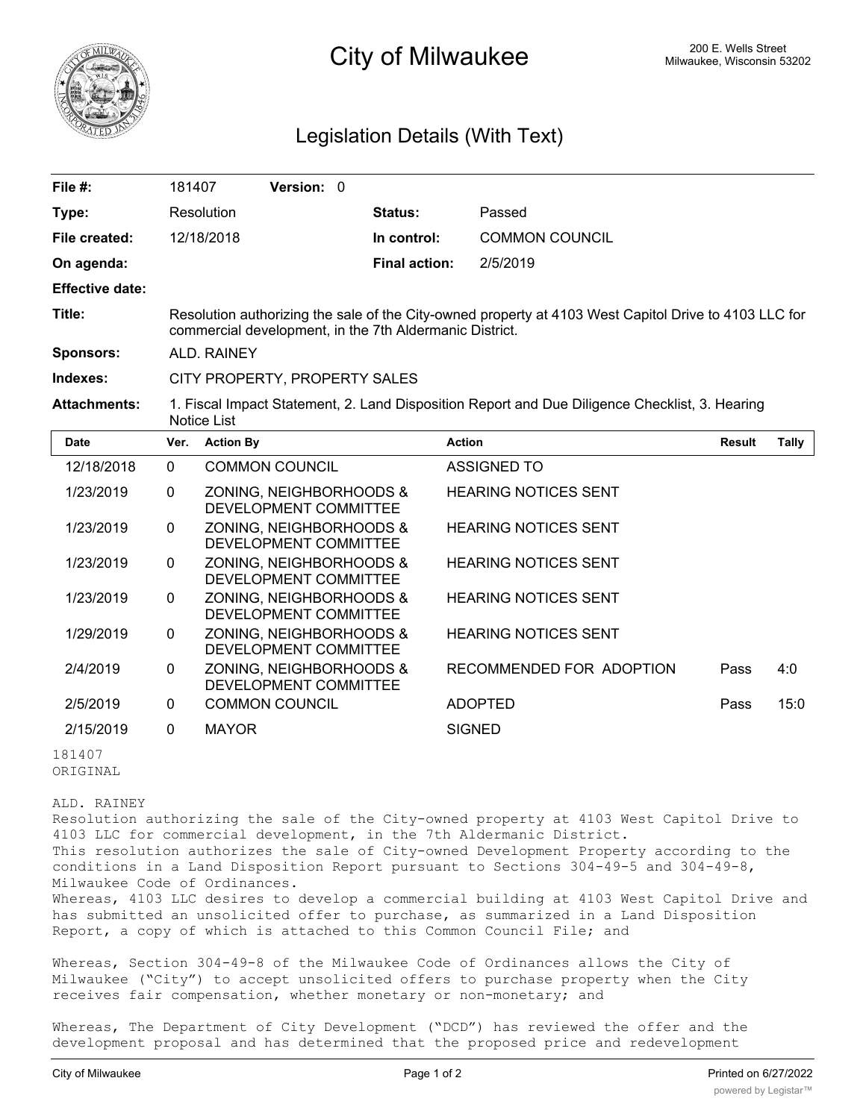

## **200 E. Wells Street City of Milwaukee** Milwaukee, Wisconsin 53202

## Legislation Details (With Text)

| File $#$ :             | 181407                                                                                                                                                           |                  | Version: 0                                       |  |                      |                             |               |       |
|------------------------|------------------------------------------------------------------------------------------------------------------------------------------------------------------|------------------|--------------------------------------------------|--|----------------------|-----------------------------|---------------|-------|
| Type:                  |                                                                                                                                                                  | Resolution       |                                                  |  | Status:              | Passed                      |               |       |
| File created:          |                                                                                                                                                                  | 12/18/2018       |                                                  |  | In control:          | <b>COMMON COUNCIL</b>       |               |       |
| On agenda:             |                                                                                                                                                                  |                  |                                                  |  | <b>Final action:</b> | 2/5/2019                    |               |       |
| <b>Effective date:</b> |                                                                                                                                                                  |                  |                                                  |  |                      |                             |               |       |
| Title:                 | Resolution authorizing the sale of the City-owned property at 4103 West Capitol Drive to 4103 LLC for<br>commercial development, in the 7th Aldermanic District. |                  |                                                  |  |                      |                             |               |       |
| <b>Sponsors:</b>       | ALD. RAINEY                                                                                                                                                      |                  |                                                  |  |                      |                             |               |       |
| Indexes:               | CITY PROPERTY, PROPERTY SALES                                                                                                                                    |                  |                                                  |  |                      |                             |               |       |
| <b>Attachments:</b>    | 1. Fiscal Impact Statement, 2. Land Disposition Report and Due Diligence Checklist, 3. Hearing<br>Notice List                                                    |                  |                                                  |  |                      |                             |               |       |
| <b>Date</b>            | Ver.                                                                                                                                                             | <b>Action By</b> |                                                  |  |                      | <b>Action</b>               | <b>Result</b> | Tally |
| 12/18/2018             | $\Omega$                                                                                                                                                         |                  | <b>COMMON COUNCIL</b>                            |  |                      | <b>ASSIGNED TO</b>          |               |       |
| 1/23/2019              | 0                                                                                                                                                                |                  | ZONING, NEIGHBORHOODS &<br>DEVELOPMENT COMMITTEE |  |                      | <b>HEARING NOTICES SENT</b> |               |       |
| 1/23/2019              | $\Omega$                                                                                                                                                         |                  | ZONING, NEIGHBORHOODS &<br>DEVELOPMENT COMMITTEE |  |                      | <b>HEARING NOTICES SENT</b> |               |       |
| 1/23/2019              | $\Omega$                                                                                                                                                         |                  | ZONING, NEIGHBORHOODS &<br>DEVELOPMENT COMMITTEE |  |                      | <b>HEARING NOTICES SENT</b> |               |       |
| 1/23/2019              | $\Omega$                                                                                                                                                         |                  | ZONING, NEIGHBORHOODS &<br>DEVELOPMENT COMMITTEE |  |                      | <b>HEARING NOTICES SENT</b> |               |       |
| 1/29/2019              | 0                                                                                                                                                                |                  | ZONING, NEIGHBORHOODS &<br>DEVELOPMENT COMMITTEE |  |                      | <b>HEARING NOTICES SENT</b> |               |       |
| 2/4/2019               | 0                                                                                                                                                                |                  | ZONING, NEIGHBORHOODS &<br>DEVELOPMENT COMMITTEE |  |                      | RECOMMENDED FOR ADOPTION    | Pass          | 4:0   |

2/5/2019 0 COMMON COUNCIL ADOPTED Pass 15:0 2/15/2019 0 MAYOR SIGNED 181407

ORIGINAL

ALD. RAINEY

Resolution authorizing the sale of the City-owned property at 4103 West Capitol Drive to 4103 LLC for commercial development, in the 7th Aldermanic District. This resolution authorizes the sale of City-owned Development Property according to the conditions in a Land Disposition Report pursuant to Sections 304-49-5 and 304-49-8, Milwaukee Code of Ordinances. Whereas, 4103 LLC desires to develop a commercial building at 4103 West Capitol Drive and has submitted an unsolicited offer to purchase, as summarized in a Land Disposition Report, a copy of which is attached to this Common Council File; and

Whereas, Section 304-49-8 of the Milwaukee Code of Ordinances allows the City of Milwaukee ("City") to accept unsolicited offers to purchase property when the City receives fair compensation, whether monetary or non-monetary; and

Whereas, The Department of City Development ("DCD") has reviewed the offer and the development proposal and has determined that the proposed price and redevelopment